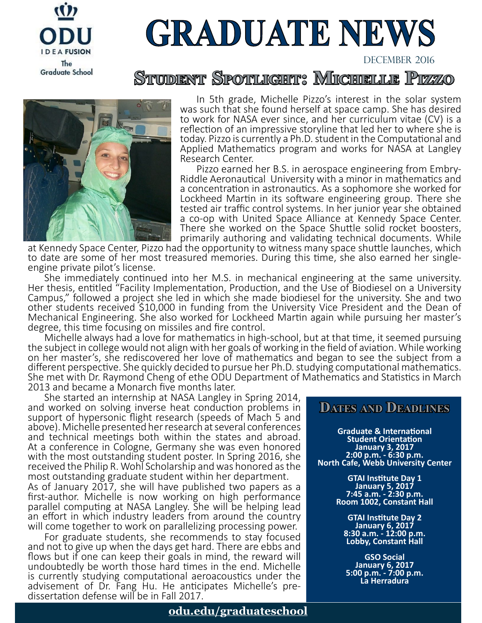

# **GRADUATE NEWS**

DECEMBER 2016

### Studdent Spotlight: Michelle Pizzo



In 5th grade, Michelle Pizzo's interest in the solar system was such that she found herself at space camp. She has desired to work for NASA ever since, and her curriculum vitae (CV) is a reflection of an impressive storyline that led her to where she is today. Pizzo is currently a Ph.D. student in the Computational and Applied Mathematics program and works for NASA at Langley Research Center.

Pizzo earned her B.S. in aerospace engineering from Embry-Riddle Aeronautical University with a minor in mathematics and a concentration in astronautics. As a sophomore she worked for Lockheed Martin in its software engineering group. There she tested air traffic control systems. In her junior year she obtained a co-op with United Space Alliance at Kennedy Space Center. There she worked on the Space Shuttle solid rocket boosters, primarily authoring and validating technical documents. While

at Kennedy Space Center, Pizzo had the opportunity to witness many space shuttle launches, which to date are some of her most treasured memories. During this time, she also earned her singleengine private pilot's license.

\_\_\_She immediately continued into her M.S. in mechanical engineering at the same university. Her thesis, entitled "Facility Implementation, Production, and the Use of Biodiesel on a University Campus," followed a project she led in which she made biodiesel for the university. She and two other students received \$10,000 in funding from the University Vice President and the Dean of Mechanical Engineering. She also worked for Lockheed Martin again while pursuing her master's degree, this time focusing on missiles and fire control.

\_\_\_Michelle always had a love for mathematics in high-school, but at that time, it seemed pursuing the subject in college would not align with her goals of working in the field of aviation. While working on her master's, she rediscovered her love of mathematics and began to see the subject from a different perspective. She quickly decided to pursue her Ph.D. studying computational mathematics. She met with Dr. Raymond Cheng of ethe ODU Department of Mathematics and Statistics in March 2013 and became a Monarch five months later.

\_\_\_She started an internship at NASA Langley in Spring 2014, and worked on solving inverse heat conduction problems in support of hypersonic flight research (speeds of Mach 5 and above). Michelle presented her research at several conferences and technical meetings both within the states and abroad. At a conference in Cologne, Germany she was even honored with the most outstanding student poster. In Spring 2016, she received the Philip R. Wohl Scholarship and was honored as the most outstanding graduate student within her department. As of January 2017, she will have published two papers as a first-author. Michelle is now working on high performance parallel computing at NASA Langley. She will be helping lead an effort in which industry leaders from around the country will come together to work on parallelizing processing power.

For graduate students, she recommends to stay focused and not to give up when the days get hard. There are ebbs and flows but if one can keep their goals in mind, the reward will undoubtedly be worth those hard times in the end. Michelle is currently studying computational aeroacoustics under the advisement of Dr. Fang Hu. He anticipates Michelle's predissertation defense will be in Fall 2017.

#### **[odu.edu/graduateschool](http://odu.edu/graduateschool)**

#### **Dates and Deadlines**

**Graduate & International Student Orientation January 3, 2017 2:00 p.m. - 6:30 p.m. North Cafe, Webb University Center**

> **GTAI Institute Day 1 January 5, 2017 7:45 a.m. - 2:30 p.m. Room 1002, Constant Hall**

**GTAI Institute Day 2 January 6, 2017 8:30 a.m. - 12:00 p.m. Lobby, Constant Hall**

**GSO Social January 6, 2017 5:00 p.m. - 7:00 p.m. La Herradura**